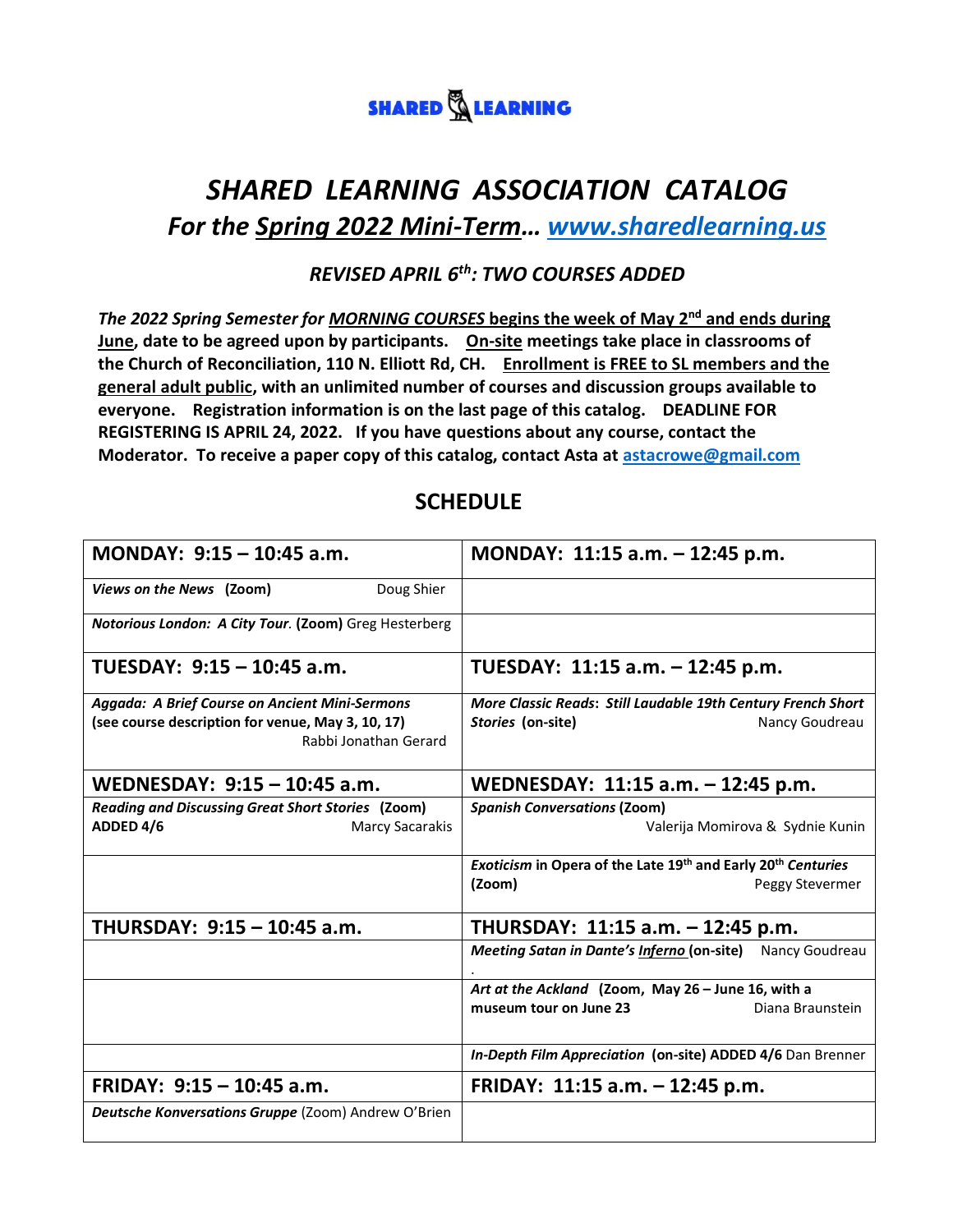

# *SHARED LEARNING ASSOCIATION CATALOG For the Spring 2022 Mini-Term… [www.sharedlearning.us](http://www.sharedlearning.us/)*

#### *REVISED APRIL 6th: TWO COURSES ADDED*

*The 2022 Spring Semester for MORNING COURSES* **begins the week of May 2nd and ends during June, date to be agreed upon by participants. On-site meetings take place in classrooms of the Church of Reconciliation, 110 N. Elliott Rd, CH. Enrollment is FREE to SL members and the general adult public, with an unlimited number of courses and discussion groups available to everyone. Registration information is on the last page of this catalog. DEADLINE FOR REGISTERING IS APRIL 24, 2022. If you have questions about any course, contact the Moderator. To receive a paper copy of this catalog, contact Asta at [astacrowe@gmail.com](mailto:astacrowe@gmail.com)**

### **SCHEDULE**

| MONDAY: 9:15 - 10:45 a.m.                                | MONDAY: 11:15 a.m. - 12:45 p.m.                              |
|----------------------------------------------------------|--------------------------------------------------------------|
| Doug Shier<br>Views on the News (Zoom)                   |                                                              |
| Notorious London: A City Tour. (Zoom) Greg Hesterberg    |                                                              |
| TUESDAY: 9:15 - 10:45 a.m.                               | TUESDAY: 11:15 a.m. - 12:45 p.m.                             |
| Aggada: A Brief Course on Ancient Mini-Sermons           | More Classic Reads: Still Laudable 19th Century French Short |
| (see course description for venue, May 3, 10, 17)        | Stories (on-site)<br>Nancy Goudreau                          |
| Rabbi Jonathan Gerard                                    |                                                              |
| WEDNESDAY: 9:15 - 10:45 a.m.                             | WEDNESDAY: 11:15 a.m. - 12:45 p.m.                           |
| <b>Reading and Discussing Great Short Stories (Zoom)</b> | <b>Spanish Conversations (Zoom)</b>                          |
| ADDED 4/6<br><b>Marcy Sacarakis</b>                      | Valerija Momirova & Sydnie Kunin                             |
|                                                          | Exoticism in Opera of the Late 19th and Early 20th Centuries |
|                                                          | (Zoom)<br>Peggy Stevermer                                    |
| THURSDAY: 9:15 - 10:45 a.m.                              | THURSDAY: 11:15 a.m. - 12:45 p.m.                            |
|                                                          | Meeting Satan in Dante's Inferno (on-site) Nancy Goudreau    |
|                                                          | Art at the Ackland (Zoom, May 26 - June 16, with a           |
|                                                          | museum tour on June 23<br>Diana Braunstein                   |
|                                                          | In-Depth Film Appreciation (on-site) ADDED 4/6 Dan Brenner   |
| FRIDAY: 9:15 - 10:45 a.m.                                | FRIDAY: 11:15 a.m. - 12:45 p.m.                              |
| Deutsche Konversations Gruppe (Zoom) Andrew O'Brien      |                                                              |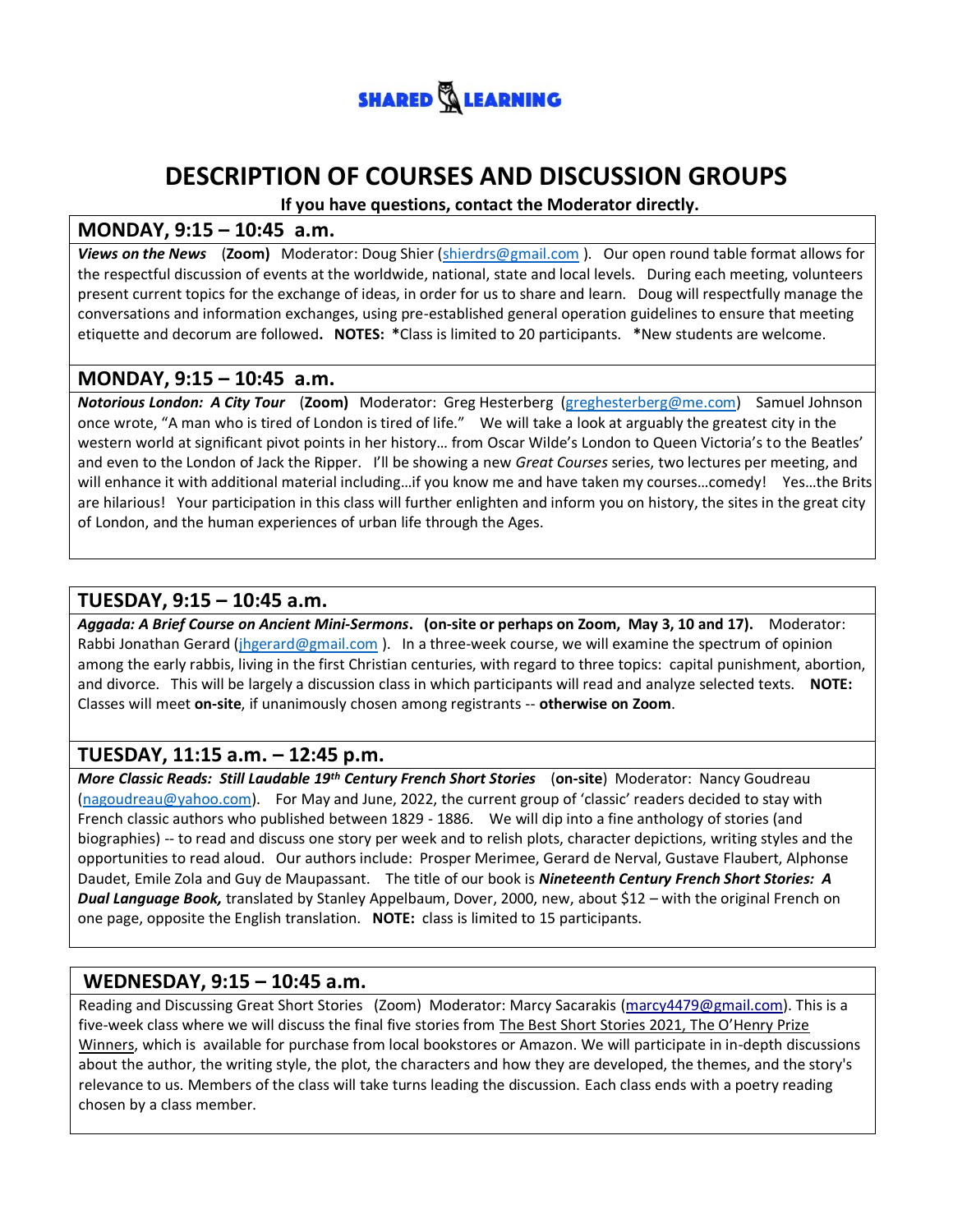

## **DESCRIPTION OF COURSES AND DISCUSSION GROUPS**

**If you have questions, contact the Moderator directly.**

#### **MONDAY, 9:15 – 10:45 a.m.**

*Views on the News* (**Zoom)** Moderator: Doug Shier [\(shierdrs@gmail.com](mailto:shierdrs@gmail.com) ). Our open round table format allows for the respectful discussion of events at the worldwide, national, state and local levels. During each meeting, volunteers present current topics for the exchange of ideas, in order for us to share and learn. Doug will respectfully manage the conversations and information exchanges, using pre-established general operation guidelines to ensure that meeting etiquette and decorum are followed**. NOTES: \***Class is limited to 20 participants. **\***New students are welcome.

#### **MONDAY, 9:15 – 10:45 a.m.**

*Notorious London: A City Tour* (**Zoom)** Moderator: Greg Hesterberg [\(greghesterberg@me.com\)](mailto:greghesterberg@me.com) Samuel Johnson once wrote, "A man who is tired of London is tired of life." We will take a look at arguably the greatest city in the western world at significant pivot points in her history… from Oscar Wilde's London to Queen Victoria's to the Beatles' and even to the London of Jack the Ripper. I'll be showing a new *Great Courses* series, two lectures per meeting, and will enhance it with additional material including…if you know me and have taken my courses…comedy! Yes…the Brits are hilarious! Your participation in this class will further enlighten and inform you on history, the sites in the great city of London, and the human experiences of urban life through the Ages.

#### **TUESDAY, 9:15 – 10:45 a.m.**

*Aggada: A Brief Course on Ancient Mini-Sermons***. (on-site or perhaps on Zoom, May 3, 10 and 17).** Moderator: Rabbi Jonathan Gerard [\(jhgerard@gmail.com](mailto:jhgerard@gmail.com) ). In a three-week course, we will examine the spectrum of opinion among the early rabbis, living in the first Christian centuries, with regard to three topics: capital punishment, abortion, and divorce. This will be largely a discussion class in which participants will read and analyze selected texts. **NOTE:** Classes will meet **on-site**, if unanimously chosen among registrants -- **otherwise on Zoom**.

#### **TUESDAY, 11:15 a.m. – 12:45 p.m.**

*More Classic Reads: Still Laudable 19th Century French Short Stories* (**on-site**) Moderator: Nancy Goudreau [\(nagoudreau@yahoo.com](mailto:nagoudreau@yahoo.com)). For May and June, 2022, the current group of 'classic' readers decided to stay with French classic authors who published between 1829 - 1886. We will dip into a fine anthology of stories (and biographies) -- to read and discuss one story per week and to relish plots, character depictions, writing styles and the opportunities to read aloud. Our authors include: Prosper Merimee, Gerard de Nerval, Gustave Flaubert, Alphonse Daudet, Emile Zola and Guy de Maupassant. The title of our book is *Nineteenth Century French Short Stories: A Dual Language Book,* translated by Stanley Appelbaum, Dover, 2000, new, about \$12 – with the original French on one page, opposite the English translation. **NOTE:** class is limited to 15 participants.

#### **WEDNESDAY, 9:15 – 10:45 a.m.**

Reading and Discussing Great Short Stories (Zoom) Moderator: Marcy Sacarakis [\(marcy4479@gmail.com\)](mailto:marcy4479@gmail.com). This is a five-week class where we will discuss the final five stories from The Best Short Stories 2021, The O'Henry Prize Winners, which is available for purchase from local bookstores or Amazon. We will participate in in-depth discussions about the author, the writing style, the plot, the characters and how they are developed, the themes, and the story's relevance to us. Members of the class will take turns leading the discussion. Each class ends with a poetry reading chosen by a class member.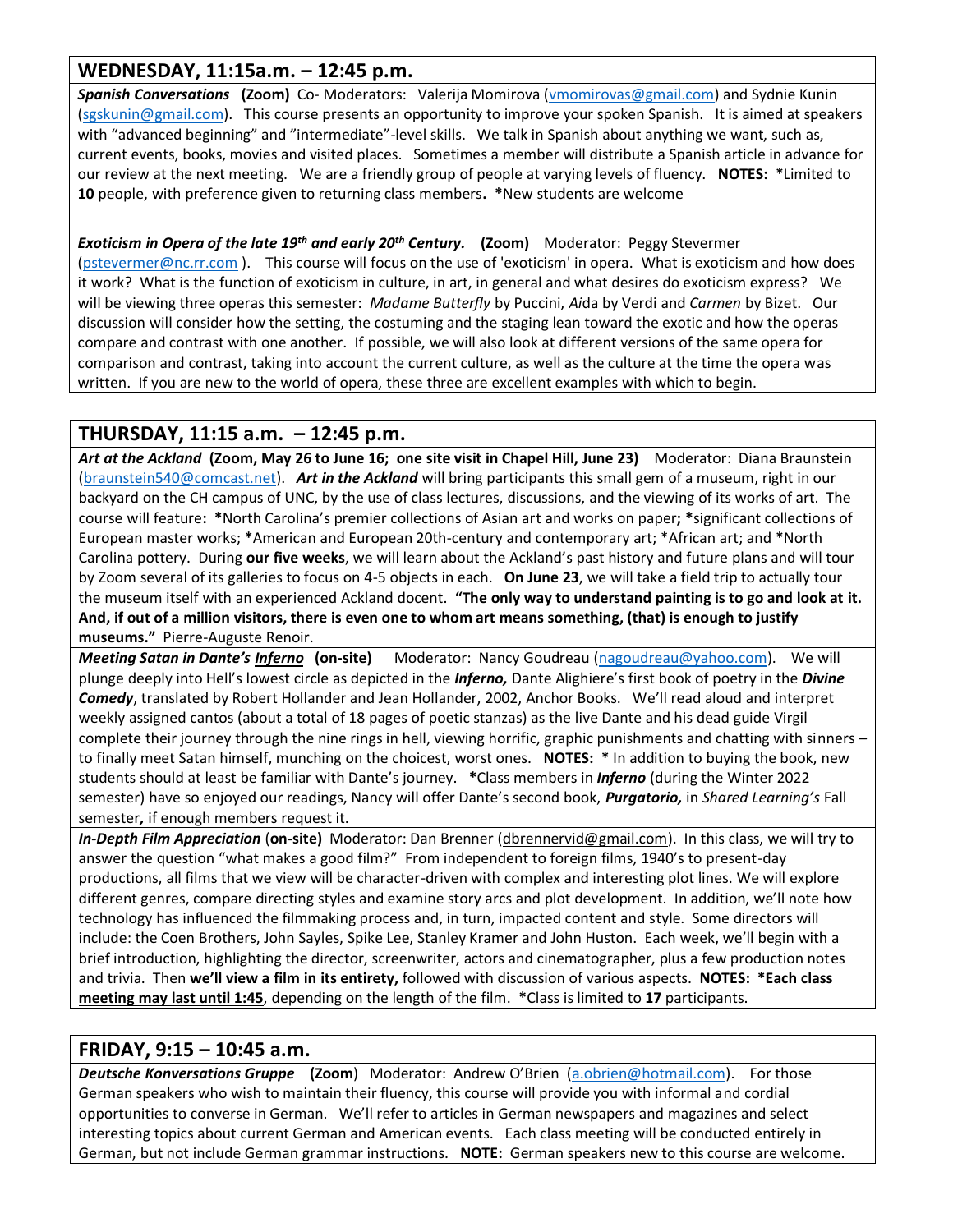#### **WEDNESDAY, 11:15a.m. – 12:45 p.m.**

**Spanish Conversations** (Zoom) Co- Moderators: Valerija Momirova [\(vmomirovas@gmail.com\)](mailto:vmomirovas@gmail.com) and Sydnie Kunin [\(sgskunin@gmail.com\)](mailto:sgskunin@gmail.com). This course presents an opportunity to improve your spoken Spanish. It is aimed at speakers with "advanced beginning" and "intermediate"-level skills. We talk in Spanish about anything we want, such as, current events, books, movies and visited places. Sometimes a member will distribute a Spanish article in advance for our review at the next meeting. We are a friendly group of people at varying levels of fluency. **NOTES: \***Limited to **10** people, with preference given to returning class members**. \***New students are welcome

*Exoticism in Opera of the late 19th and early 20th Century.* **(Zoom)** Moderator: Peggy Stevermer [\(pstevermer@nc.rr.com](mailto:pstevermer@nc.rr.com) ). This course will focus on the use of 'exoticism' in opera. What is exoticism and how does it work? What is the function of exoticism in culture, in art, in general and what desires do exoticism express? We will be viewing three operas this semester: *Madame Butterfly* by Puccini, *Ai*da by Verdi and *Carmen* by Bizet. Our discussion will consider how the setting, the costuming and the staging lean toward the exotic and how the operas compare and contrast with one another. If possible, we will also look at different versions of the same opera for comparison and contrast, taking into account the current culture, as well as the culture at the time the opera was written. If you are new to the world of opera, these three are excellent examples with which to begin.

#### **THURSDAY, 11:15 a.m. – 12:45 p.m.**

*Art at the Ackland* **(Zoom, May 26 to June 16; one site visit in Chapel Hill, June 23)** Moderator: Diana Braunstein [\(braunstein540@comcast.net\)](mailto:braunstein540@comcast.net). *Art in the Ackland* will bring participants this small gem of a museum, right in our backyard on the CH campus of UNC, by the use of class lectures, discussions, and the viewing of its works of art. The course will feature**: \***North Carolina's premier collections of Asian art and works on paper**; \***significant collections of European master works; **\***American and European 20th-century and contemporary art; \*African art; and **\***North Carolina pottery. During **our five weeks**, we will learn about the Ackland's past history and future plans and will tour by Zoom several of its galleries to focus on 4-5 objects in each. **On June 23**, we will take a field trip to actually tour the museum itself with an experienced Ackland docent. **"The only way to understand painting is to go and look at it. And, if out of a million visitors, there is even one to whom art means something, (that) is enough to justify museums."** Pierre-Auguste Renoir.

*Meeting Satan in Dante's Inferno* **(on-site)** Moderator: Nancy Goudreau [\(nagoudreau@yahoo.com\)](mailto:nagoudreau@yahoo.com). We will plunge deeply into Hell's lowest circle as depicted in the *Inferno,* Dante Alighiere's first book of poetry in the *Divine Comedy*, translated by Robert Hollander and Jean Hollander, 2002, Anchor Books. We'll read aloud and interpret weekly assigned cantos (about a total of 18 pages of poetic stanzas) as the live Dante and his dead guide Virgil complete their journey through the nine rings in hell, viewing horrific, graphic punishments and chatting with sinners – to finally meet Satan himself, munching on the choicest, worst ones. **NOTES: \*** In addition to buying the book, new students should at least be familiar with Dante's journey. **\***Class members in *Inferno* (during the Winter 2022 semester) have so enjoyed our readings, Nancy will offer Dante's second book, *Purgatorio,* in *Shared Learning's* Fall semester*,* if enough members request it.

*In-Depth Film Appreciation* (**on-site)** Moderator: Dan Brenner [\(dbrennervid@gmail.com\)](mailto:dbrennervid@gmail.com). In this class, we will try to answer the question "what makes a good film?" From independent to foreign films, 1940's to present-day productions, all films that we view will be character-driven with complex and interesting plot lines. We will explore different genres, compare directing styles and examine story arcs and plot development. In addition, we'll note how technology has influenced the filmmaking process and, in turn, impacted content and style. Some directors will include: the Coen Brothers, John Sayles, Spike Lee, Stanley Kramer and John Huston. Each week, we'll begin with a brief introduction, highlighting the director, screenwriter, actors and cinematographer, plus a few production notes and trivia. Then **we'll view a film in its entirety,** followed with discussion of various aspects. **NOTES: \*Each class meeting may last until 1:45**, depending on the length of the film. **\***Class is limited to **17** participants.

#### **FRIDAY, 9:15 – 10:45 a.m.**

*Deutsche Konversations Gruppe* **(Zoom**) Moderator: Andrew O'Brien ([a.obrien@hotmail.com\)](mailto:a.obrien@hotmail.com). For those German speakers who wish to maintain their fluency, this course will provide you with informal and cordial opportunities to converse in German. We'll refer to articles in German newspapers and magazines and select interesting topics about current German and American events. Each class meeting will be conducted entirely in German, but not include German grammar instructions. **NOTE:** German speakers new to this course are welcome.